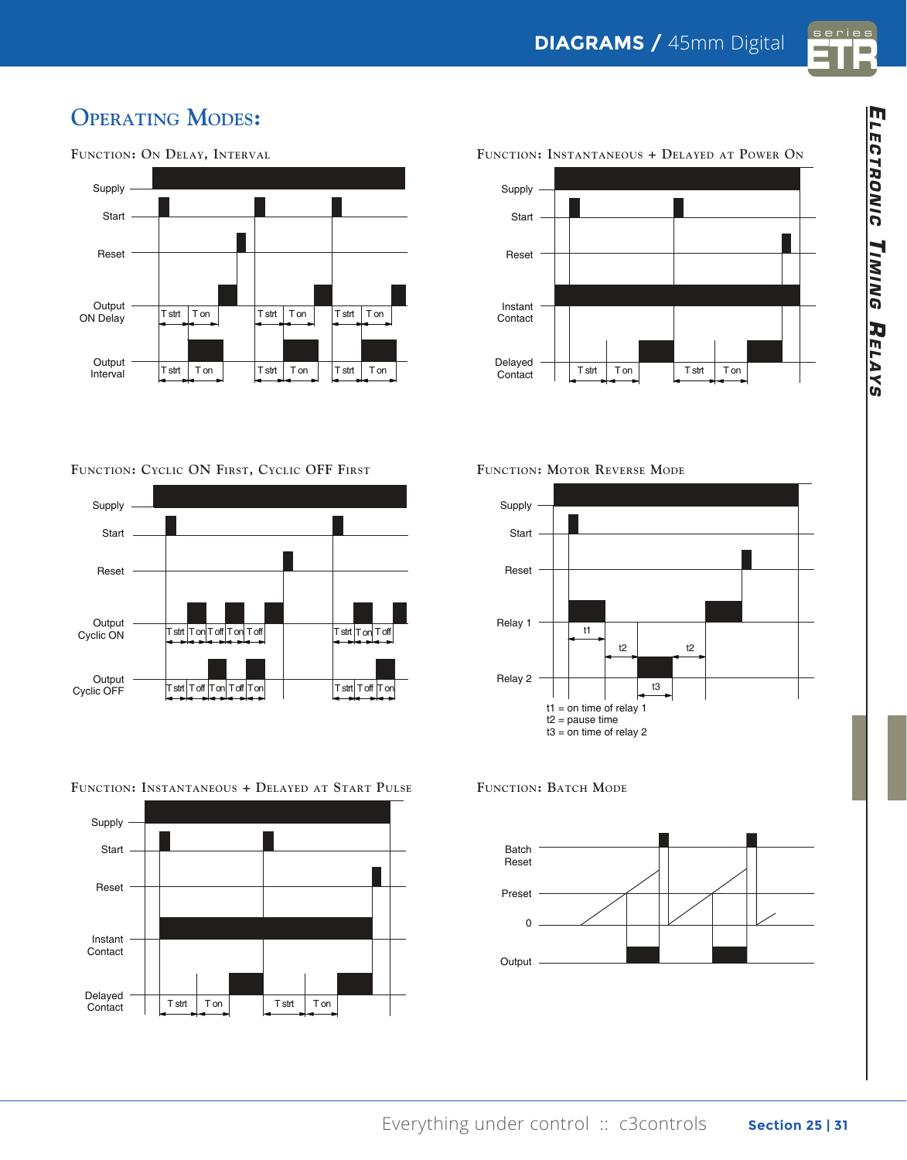

## **OPERATING MODES:**

**TB** nema



Supply Start Reset Instant Contact Delayed  $\begin{array}{c|c|c|c|c} \text{Deiayed} & \text{First} & \text{Test} & \text{Ton} & \text{Test} & \text{Ton} \end{array}$ FUNCTION: INSTANTANEOUS + DELAYED AT POWER ON

**Function: Cyclic ON First, Cyclic OFF First**



**Function: Instantaneous + Delayed at Start Pulse**



**Function: Motor Reverse Mode**

**300** miniature de la provincia de la provincia de la provincia de la provincia de la provincia de la provincia del<br>La provincia de la provincia de la provincia de la provincia de la provincia de la provincia de la provincia d



**FUNCTION: BATCH MODE**